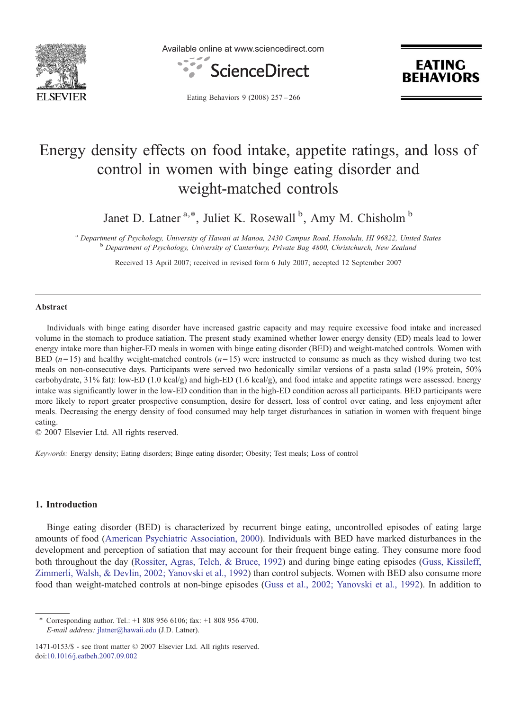

Available online at www.sciencedirect.com



**EATING REHAVIORS** 

Eating Behaviors 9 (2008) 257–266

# Energy density effects on food intake, appetite ratings, and loss of control in women with binge eating disorder and weight-matched controls

Janet D. Latner<sup>a,\*</sup>, Juliet K. Rosewall<sup>b</sup>, Amy M. Chisholm<sup>b</sup>

<sup>a</sup> Department of Psychology, University of Hawaii at Manoa, 2430 Campus Road, Honolulu, HI 96822, United States b<br>b Department of Psychology, University of Canterbury, Private Bag 4800, Christchurch, New Zealand

Received 13 April 2007; received in revised form 6 July 2007; accepted 12 September 2007

#### **Abstract**

Individuals with binge eating disorder have increased gastric capacity and may require excessive food intake and increased volume in the stomach to produce satiation. The present study examined whether lower energy density (ED) meals lead to lower energy intake more than higher-ED meals in women with binge eating disorder (BED) and weight-matched controls. Women with BED  $(n=15)$  and healthy weight-matched controls  $(n=15)$  were instructed to consume as much as they wished during two test meals on non-consecutive days. Participants were served two hedonically similar versions of a pasta salad (19% protein, 50% carbohydrate, 31% fat): low-ED (1.0 kcal/g) and high-ED (1.6 kcal/g), and food intake and appetite ratings were assessed. Energy intake was significantly lower in the low-ED condition than in the high-ED condition across all participants. BED participants were more likely to report greater prospective consumption, desire for dessert, loss of control over eating, and less enjoyment after meals. Decreasing the energy density of food consumed may help target disturbances in satiation in women with frequent binge eating.

© 2007 Elsevier Ltd. All rights reserved.

Keywords: Energy density; Eating disorders; Binge eating disorder; Obesity; Test meals; Loss of control

### 1. Introduction

Binge eating disorder (BED) is characterized by recurrent binge eating, uncontrolled episodes of eating large amounts of food ([American Psychiatric Association, 2000\)](#page--1-0). Individuals with BED have marked disturbances in the development and perception of satiation that may account for their frequent binge eating. They consume more food both throughout the day ([Rossiter, Agras, Telch, & Bruce, 1992](#page--1-0)) and during binge eating episodes [\(Guss, Kissileff,](#page--1-0) [Zimmerli, Walsh, & Devlin, 2002; Yanovski et al., 1992](#page--1-0)) than control subjects. Women with BED also consume more food than weight-matched controls at non-binge episodes [\(Guss et al., 2002; Yanovski et al., 1992\)](#page--1-0). In addition to

<sup>⁎</sup> Corresponding author. Tel.: +1 808 956 6106; fax: +1 808 956 4700. E-mail address: [jlatner@hawaii.edu](mailto:jlatner@hawaii.�edu) (J.D. Latner).

<sup>1471-0153/\$ -</sup> see front matter © 2007 Elsevier Ltd. All rights reserved. doi[:10.1016/j.eatbeh.2007.09.002](http://dx.doi.org/10.1016/j.eatbeh.2007.09.002)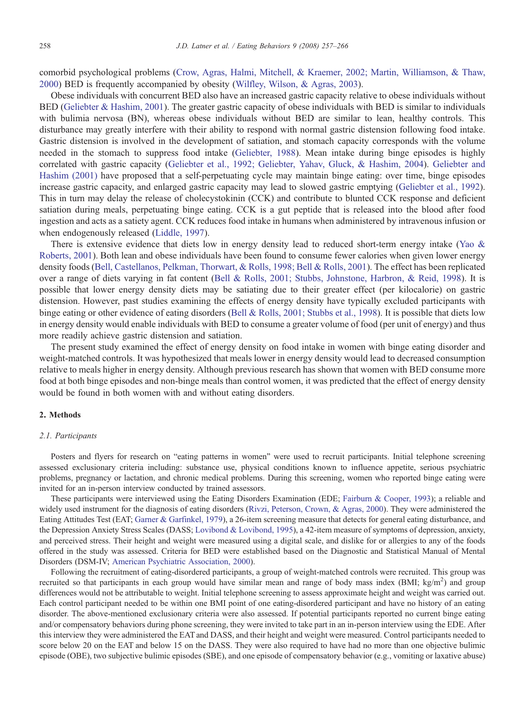comorbid psychological problems [\(Crow, Agras, Halmi, Mitchell, & Kraemer, 2002; Martin, Williamson, & Thaw,](#page--1-0) [2000](#page--1-0)) BED is frequently accompanied by obesity [\(Wilfley, Wilson, & Agras, 2003](#page--1-0)).

Obese individuals with concurrent BED also have an increased gastric capacity relative to obese individuals without BED ([Geliebter & Hashim, 2001](#page--1-0)). The greater gastric capacity of obese individuals with BED is similar to individuals with bulimia nervosa (BN), whereas obese individuals without BED are similar to lean, healthy controls. This disturbance may greatly interfere with their ability to respond with normal gastric distension following food intake. Gastric distension is involved in the development of satiation, and stomach capacity corresponds with the volume needed in the stomach to suppress food intake ([Geliebter, 1988](#page--1-0)). Mean intake during binge episodes is highly correlated with gastric capacity ([Geliebter et al., 1992; Geliebter, Yahav, Gluck, & Hashim, 2004\)](#page--1-0). [Geliebter and](#page--1-0) [Hashim \(2001\)](#page--1-0) have proposed that a self-perpetuating cycle may maintain binge eating: over time, binge episodes increase gastric capacity, and enlarged gastric capacity may lead to slowed gastric emptying ([Geliebter et al., 1992\)](#page--1-0). This in turn may delay the release of cholecystokinin (CCK) and contribute to blunted CCK response and deficient satiation during meals, perpetuating binge eating. CCK is a gut peptide that is released into the blood after food ingestion and acts as a satiety agent. CCK reduces food intake in humans when administered by intravenous infusion or when endogenously released [\(Liddle, 1997\)](#page--1-0).

There is extensive evidence that diets low in energy density lead to reduced short-term energy intake [\(Yao &](#page--1-0) [Roberts, 2001\)](#page--1-0). Both lean and obese individuals have been found to consume fewer calories when given lower energy density foods ([Bell, Castellanos, Pelkman, Thorwart, & Rolls, 1998; Bell & Rolls, 2001](#page--1-0)). The effect has been replicated over a range of diets varying in fat content [\(Bell & Rolls, 2001; Stubbs, Johnstone, Harbron, & Reid, 1998](#page--1-0)). It is possible that lower energy density diets may be satiating due to their greater effect (per kilocalorie) on gastric distension. However, past studies examining the effects of energy density have typically excluded participants with binge eating or other evidence of eating disorders ([Bell & Rolls, 2001; Stubbs et al., 1998](#page--1-0)). It is possible that diets low in energy density would enable individuals with BED to consume a greater volume of food (per unit of energy) and thus more readily achieve gastric distension and satiation.

The present study examined the effect of energy density on food intake in women with binge eating disorder and weight-matched controls. It was hypothesized that meals lower in energy density would lead to decreased consumption relative to meals higher in energy density. Although previous research has shown that women with BED consume more food at both binge episodes and non-binge meals than control women, it was predicted that the effect of energy density would be found in both women with and without eating disorders.

### 2. Methods

#### 2.1. Participants

Posters and flyers for research on "eating patterns in women" were used to recruit participants. Initial telephone screening assessed exclusionary criteria including: substance use, physical conditions known to influence appetite, serious psychiatric problems, pregnancy or lactation, and chronic medical problems. During this screening, women who reported binge eating were invited for an in-person interview conducted by trained assessors.

These participants were interviewed using the Eating Disorders Examination (EDE; [Fairburn & Cooper, 1993](#page--1-0)); a reliable and widely used instrument for the diagnosis of eating disorders ([Rivzi, Peterson, Crown, & Agras, 2000\)](#page--1-0). They were administered the Eating Attitudes Test (EAT; [Garner & Garfinkel, 1979\)](#page--1-0), a 26-item screening measure that detects for general eating disturbance, and the Depression Anxiety Stress Scales (DASS; [Lovibond & Lovibond, 1995](#page--1-0)), a 42-item measure of symptoms of depression, anxiety, and perceived stress. Their height and weight were measured using a digital scale, and dislike for or allergies to any of the foods offered in the study was assessed. Criteria for BED were established based on the Diagnostic and Statistical Manual of Mental Disorders (DSM-IV; [American Psychiatric Association, 2000\)](#page--1-0).

Following the recruitment of eating-disordered participants, a group of weight-matched controls were recruited. This group was recruited so that participants in each group would have similar mean and range of body mass index (BMI;  $\text{kg/m}^2$ ) and group differences would not be attributable to weight. Initial telephone screening to assess approximate height and weight was carried out. Each control participant needed to be within one BMI point of one eating-disordered participant and have no history of an eating disorder. The above-mentioned exclusionary criteria were also assessed. If potential participants reported no current binge eating and/or compensatory behaviors during phone screening, they were invited to take part in an in-person interview using the EDE. After this interview they were administered the EAT and DASS, and their height and weight were measured. Control participants needed to score below 20 on the EAT and below 15 on the DASS. They were also required to have had no more than one objective bulimic episode (OBE), two subjective bulimic episodes (SBE), and one episode of compensatory behavior (e.g., vomiting or laxative abuse)